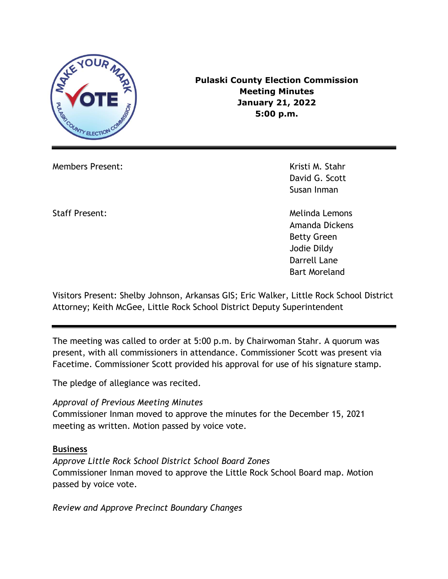

**Pulaski County Election Commission Meeting Minutes January 21, 2022 5:00 p.m.**

Members Present: Kristi M. Stahr

David G. Scott Susan Inman

Staff Present: Melinda Lemons Amanda Dickens Betty Green Jodie Dildy Darrell Lane Bart Moreland

Visitors Present: Shelby Johnson, Arkansas GIS; Eric Walker, Little Rock School District Attorney; Keith McGee, Little Rock School District Deputy Superintendent

The meeting was called to order at 5:00 p.m. by Chairwoman Stahr. A quorum was present, with all commissioners in attendance. Commissioner Scott was present via Facetime. Commissioner Scott provided his approval for use of his signature stamp.

The pledge of allegiance was recited.

#### *Approval of Previous Meeting Minutes*

Commissioner Inman moved to approve the minutes for the December 15, 2021 meeting as written. Motion passed by voice vote.

#### **Business**

*Approve Little Rock School District School Board Zones*  Commissioner Inman moved to approve the Little Rock School Board map. Motion passed by voice vote.

*Review and Approve Precinct Boundary Changes*